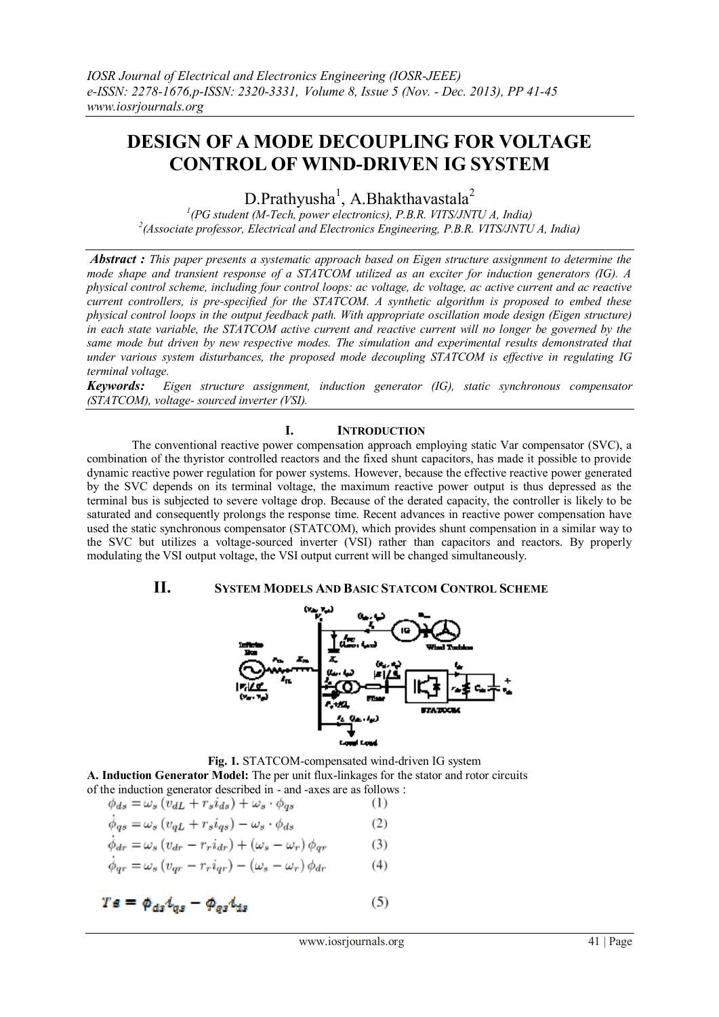# **DESIGN OF A MODE DECOUPLING FOR VOLTAGE CONTROL OF WIND-DRIVEN IG SYSTEM**

D.Prathyusha<sup>1</sup>, A.Bhakthavastala<sup>2</sup>

*1 (PG student (M-Tech, power electronics), P.B.R. VITS/JNTU A, India) 2 (Associate professor, Electrical and Electronics Engineering, P.B.R. VITS/JNTU A, India)*

*Abstract : This paper presents a systematic approach based on Eigen structure assignment to determine the mode shape and transient response of a STATCOM utilized as an exciter for induction generators (IG). A physical control scheme, including four control loops: ac voltage, dc voltage, ac active current and ac reactive current controllers, is pre-specified for the STATCOM. A synthetic algorithm is proposed to embed these physical control loops in the output feedback path. With appropriate oscillation mode design (Eigen structure) in each state variable, the STATCOM active current and reactive current will no longer be governed by the same mode but driven by new respective modes. The simulation and experimental results demonstrated that under various system disturbances, the proposed mode decoupling STATCOM is effective in regulating IG terminal voltage.*

*Keywords: Eigen structure assignment, induction generator (IG), static synchronous compensator (STATCOM), voltage- sourced inverter (VSI).*

## **I. INTRODUCTION**

 The conventional reactive power compensation approach employing static Var compensator (SVC), a combination of the thyristor controlled reactors and the fixed shunt capacitors, has made it possible to provide dynamic reactive power regulation for power systems. However, because the effective reactive power generated by the SVC depends on its terminal voltage, the maximum reactive power output is thus depressed as the terminal bus is subjected to severe voltage drop. Because of the derated capacity, the controller is likely to be saturated and consequently prolongs the response time. Recent advances in reactive power compensation have used the static synchronous compensator (STATCOM), which provides shunt compensation in a similar way to the SVC but utilizes a voltage-sourced inverter (VSI) rather than capacitors and reactors. By properly modulating the VSI output voltage, the VSI output current will be changed simultaneously.

# **II. SYSTEM MODELS AND BASIC STATCOM CONTROL SCHEME**



 **Fig. 1.** STATCOM-compensated wind-driven IG system **A. Induction Generator Model:** The per unit flux-linkages for the stator and rotor circuits of the induction generator described in - and -axes are as follows :

$$
\phi_{ds} = \omega_s (v_{dL} + r_s i_{ds}) + \omega_s \cdot \phi_{qs} \tag{1}
$$
\n
$$
\dot{\phi}_{qs} = \omega_s (v_{qL} + r_s i_{qs}) - \omega_s \cdot \phi_{ds} \tag{2}
$$
\n
$$
\dot{\phi}_{dr} = \omega_s (v_{dr} - r_r i_{dr}) + (\omega_s - \omega_r) \phi_{qr} \tag{3}
$$
\n
$$
\dot{\phi}_{ar} = \omega_s (v_{ar} - r_r i_{ar}) - (\omega_s - \omega_r) \phi_{dr} \tag{4}
$$

$$
T\mathbf{s} = \phi_{ds} t_{qs} - \phi_{qs} t_{ds} \tag{5}
$$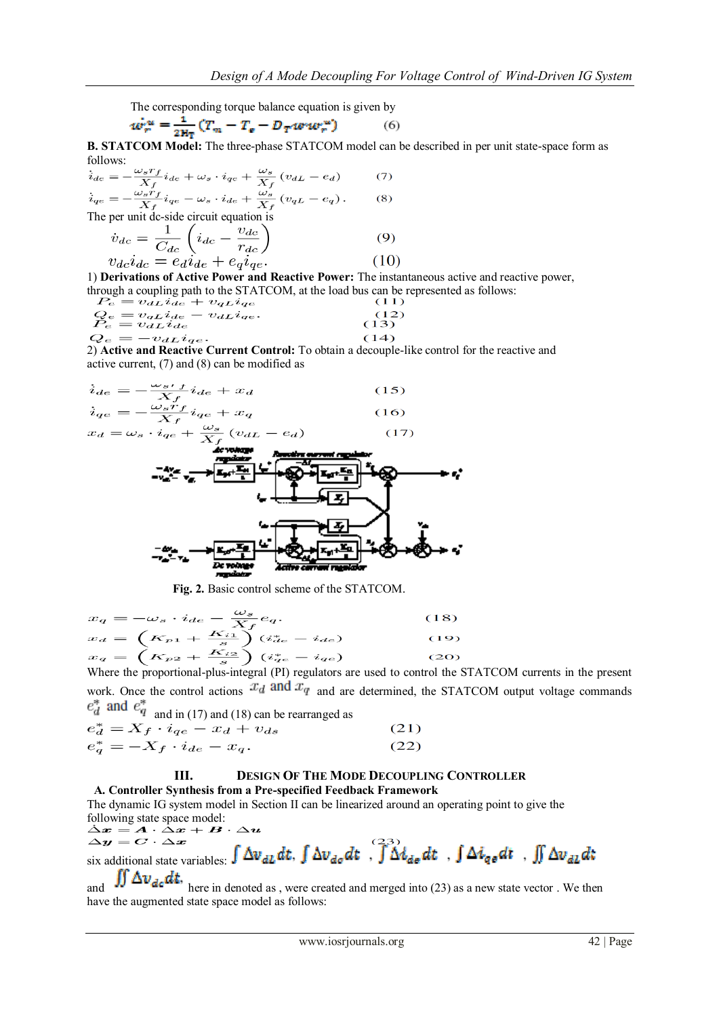The corresponding torque balance equation is given by

$$
w_r^{\alpha} = \frac{1}{2H_T} \left( T_m - T_e - D_T w u_r^{\alpha} \right) \tag{6}
$$

**B. STATCOM Model:** The three-phase STATCOM model can be described in per unit state-space form as follows:

$$
\dot{i}_{de} = -\frac{\omega_s r_f}{X_f} i_{de} + \omega_s \cdot i_{qe} + \frac{\omega_s}{X_f} (v_{dL} - e_d) \tag{7}
$$
\n
$$
\dot{i}_{qe} = -\frac{\omega_s r_f}{X_f} i_{qe} - \omega_s \cdot i_{de} + \frac{\omega_s}{X_f} (v_{qL} - e_q) \tag{8}
$$

The per unit dc-side circuit equation is

$$
\dot{v}_{dc} = \frac{1}{C_{dc}} \left( i_{dc} - \frac{v_{dc}}{r_{dc}} \right)
$$
\n
$$
v_{dc}i_{dc} = e_d i_{de} + e_q i_{qe}.
$$
\n(10)

1) **Derivations of Active Power and Reactive Power:** The instantaneous active and reactive power, through a coupling path to the STATCOM, at the load bus can be represented as follows:

$$
P_e = v_{d} \dot{L} i_{de} + v_{q} \dot{L} i_{qe}
$$
\n
$$
Q_e = v_{q} \dot{L} i_{de} - v_{d} \dot{L} i_{qe}
$$
\n
$$
Q_e = -v_{d} \dot{L} i_{de}
$$
\n
$$
(13)
$$
\n
$$
Q_e = -v_{d} \dot{L} i_{de}
$$
\n
$$
(14)
$$

2) **Active and Reactive Current Control:** To obtain a decouple-like control for the reactive and active current, (7) and (8) can be modified as

$$
i_{de} = -\frac{\omega_{s't}}{X_f} i_{de} + x_d
$$
\n
$$
i_{qe} = -\frac{\omega_{s't}}{X_f} i_{qe} + x_d
$$
\n
$$
x_d = \omega_s \cdot i_{qe} + \frac{\omega_s}{X_f} \left( v_{dL} - e_d \right)
$$
\n
$$
- \frac{\omega_s}{X_f} \cdot \frac{\omega_s}{X_f} \left( v_{dL} - e_d \right)
$$
\n
$$
- \frac{\omega_s}{X_f} \cdot \frac{\omega_s}{X_f} \cdot \frac{\omega_s}{X_f} \cdot \frac{\omega_s}{X_f} \cdot \frac{\omega_s}{X_f} \cdot \frac{\omega_s}{X_f} \cdot \frac{\omega_s}{X_f} \cdot \frac{\omega_s}{X_f} \cdot \frac{\omega_s}{X_f} \cdot \frac{\omega_s}{X_f} \cdot \frac{\omega_s}{X_f} \cdot \frac{\omega_s}{X_f} \cdot \frac{\omega_s}{X_f} \cdot \frac{\omega_s}{X_f} \cdot \frac{\omega_s}{X_f} \cdot \frac{\omega_s}{X_f} \cdot \frac{\omega_s}{X_f} \cdot \frac{\omega_s}{X_f} \cdot \frac{\omega_s}{X_f} \cdot \frac{\omega_s}{X_f} \cdot \frac{\omega_s}{X_f} \cdot \frac{\omega_s}{X_f} \cdot \frac{\omega_s}{X_f} \cdot \frac{\omega_s}{X_f} \cdot \frac{\omega_s}{X_f} \cdot \frac{\omega_s}{X_f} \cdot \frac{\omega_s}{X_f} \cdot \frac{\omega_s}{X_f} \cdot \frac{\omega_s}{X_f} \cdot \frac{\omega_s}{X_f} \cdot \frac{\omega_s}{X_f} \cdot \frac{\omega_s}{X_f} \cdot \frac{\omega_s}{X_f} \cdot \frac{\omega_s}{X_f} \cdot \frac{\omega_s}{X_f} \cdot \frac{\omega_s}{X_f} \cdot \frac{\omega_s}{X_f} \cdot \frac{\omega_s}{X_f} \cdot \frac{\omega_s}{X_f} \cdot \frac{\omega_s}{X_f} \cdot \frac{\omega_s}{X_f} \cdot \frac{\omega_s}{X_f} \cdot \frac{\omega_s}{X_f} \cdot \frac{\omega_s}{X_f} \cdot \frac{\omega_s}{X_f} \cdot \frac{\omega_s}{X_f} \cdot \frac{\omega_s}{X_f} \cdot \frac{\omega_s}{X_f} \cdot \frac{\omega_s}{X_f} \cdot \frac{\omega_s}{X_f} \cdot \frac{\omega_s}{X_f} \cdot \frac{\omega_s}{X_f} \cdot \frac{\omega_s}{X_f} \cdot \frac{\omega_s}{X_f} \cdot \frac{\omega_s
$$

 **Fig. 2.** Basic control scheme of the STATCOM.

$$
x_q = -\omega_s \cdot i_{de} - \frac{\omega_s}{X_f} e_q.
$$
\n
$$
x_d = \left(K_{p1} + \frac{K_{i1}}{s}\right) (i_{de}^* - i_{de})
$$
\n
$$
x_q = \left(K_{p2} + \frac{K_{i2}}{s}\right) (i_{qe}^* - i_{qe})
$$
\n
$$
(20)
$$

Where the proportional-plus-integral (PI) regulators are used to control the STATCOM currents in the present work. Once the control actions  $x_d$  and  $x_q$  and are determined, the STATCOM output voltage commands  $e_d^*$  and  $e_q^*$  and in (17) and (18) can be rearranged as

$$
e_d^* = X_f \cdot i_{qe} - x_d + v_{ds}
$$
  
\n
$$
e_q^* = -X_f \cdot i_{de} - x_q.
$$
\n(21)

#### **III. DESIGN OF THE MODE DECOUPLING CONTROLLER A. Controller Synthesis from a Pre-specified Feedback Framework**

The dynamic IG system model in Section II can be linearized around an operating point to give the following state space model:<br>  $\Delta x = A \cdot \Delta x + B \cdot \Delta u$ 

$$
\Delta v = C \cdot \Delta x
$$
  
six additional state variables:  $\int \Delta v_{dL} dt$ ,  $\int \Delta v_{d\sigma} dt$ ,  $\int \Delta t_{d\sigma} dt$ ,  $\int \Delta i_{q\sigma} dt$ ,  $\int \Delta v_{dL} dt$ 

and  $\iiint \Delta v_{dc} dt$ , here in denoted as , were created and merged into (23) as a new state vector . We then have the augmented state space model as follows: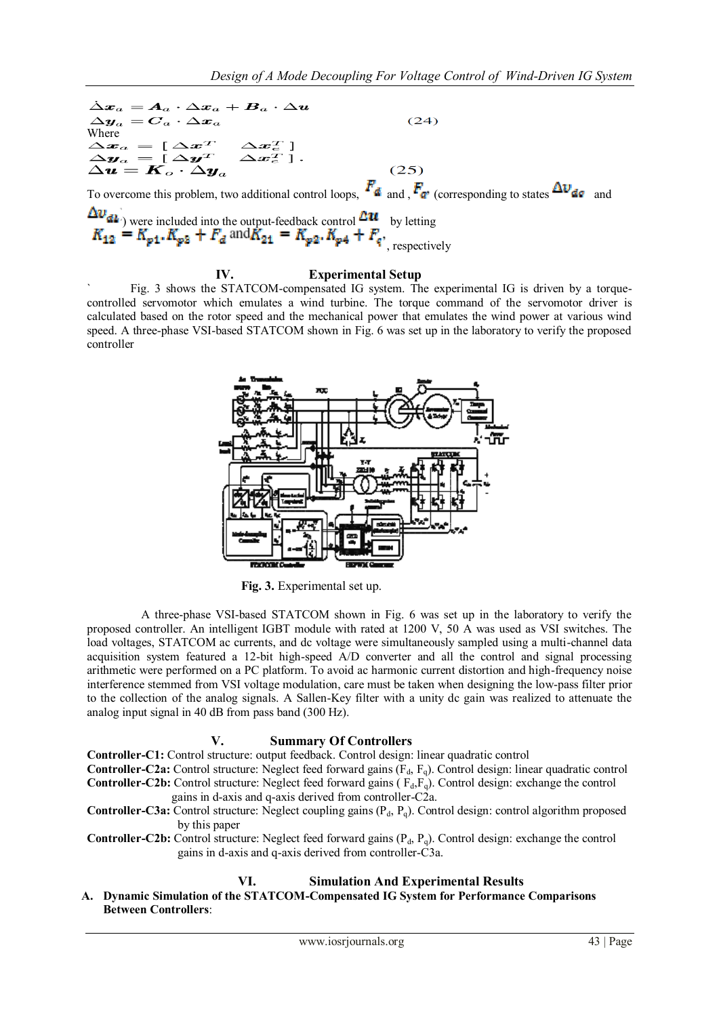$\dot{\Delta} \pmb{x}_a = \pmb{A}_a \cdot \Delta \pmb{x}_a + \pmb{B}_a \cdot \Delta \pmb{u}$  $\Delta \boldsymbol{y}_a = \boldsymbol{C}_a \cdot \Delta \boldsymbol{x}_a$  $(24)$ Where  $\begin{array}{l} \Delta \boldsymbol{x}_a = [\ \Delta \boldsymbol{x}^T \quad \Delta \boldsymbol{x}_e^T \ ] \ \Delta \boldsymbol{y}_a = [\ \Delta \boldsymbol{y}^T \quad \Delta \boldsymbol{x}_e^T \ ] \ . \ \Delta \boldsymbol{u} = \boldsymbol{K}_o \cdot \Delta \boldsymbol{y}_a \end{array}$  $(25)$ To overcome this problem, two additional control loops,  $F_{\rm d}$  and  $F_{\rm d}$  (corresponding to states  $\Delta v_{\rm d}$  and ) were included into the output-feedback control  $\Box$ <sup>u</sup> by letting , respectively

## **IV. Experimental Setup**

Fig. 3 shows the STATCOM-compensated IG system. The experimental IG is driven by a torquecontrolled servomotor which emulates a wind turbine. The torque command of the servomotor driver is calculated based on the rotor speed and the mechanical power that emulates the wind power at various wind speed. A three-phase VSI-based STATCOM shown in Fig. 6 was set up in the laboratory to verify the proposed controller



 **Fig. 3.** Experimental set up.

 A three-phase VSI-based STATCOM shown in Fig. 6 was set up in the laboratory to verify the proposed controller. An intelligent IGBT module with rated at 1200 V, 50 A was used as VSI switches. The load voltages, STATCOM ac currents, and dc voltage were simultaneously sampled using a multi-channel data acquisition system featured a 12-bit high-speed A/D converter and all the control and signal processing arithmetic were performed on a PC platform. To avoid ac harmonic current distortion and high-frequency noise interference stemmed from VSI voltage modulation, care must be taken when designing the low-pass filter prior to the collection of the analog signals. A Sallen-Key filter with a unity dc gain was realized to attenuate the analog input signal in 40 dB from pass band (300 Hz).

## **V. Summary Of Controllers**

**Controller-C1:** Control structure: output feedback. Control design: linear quadratic control

**Controller-C2a:** Control structure: Neglect feed forward gains (F<sub>d</sub>, F<sub>q</sub>). Control design: linear quadratic control **Controller-C2b:** Control structure: Neglect feed forward gains  $(F_d, F_d)$ . Control design: exchange the control gains in d-axis and q-axis derived from controller-C2a.

**Controller-C3a:** Control structure: Neglect coupling gains (P<sub>d</sub>, P<sub>q</sub>). Control design: control algorithm proposed by this paper

**Controller-C2b:** Control structure: Neglect feed forward gains (P<sub>d</sub>, P<sub>q</sub>). Control design: exchange the control gains in d-axis and q-axis derived from controller-C3a.

## **VI. Simulation And Experimental Results**

**A. Dynamic Simulation of the STATCOM-Compensated IG System for Performance Comparisons Between Controllers**: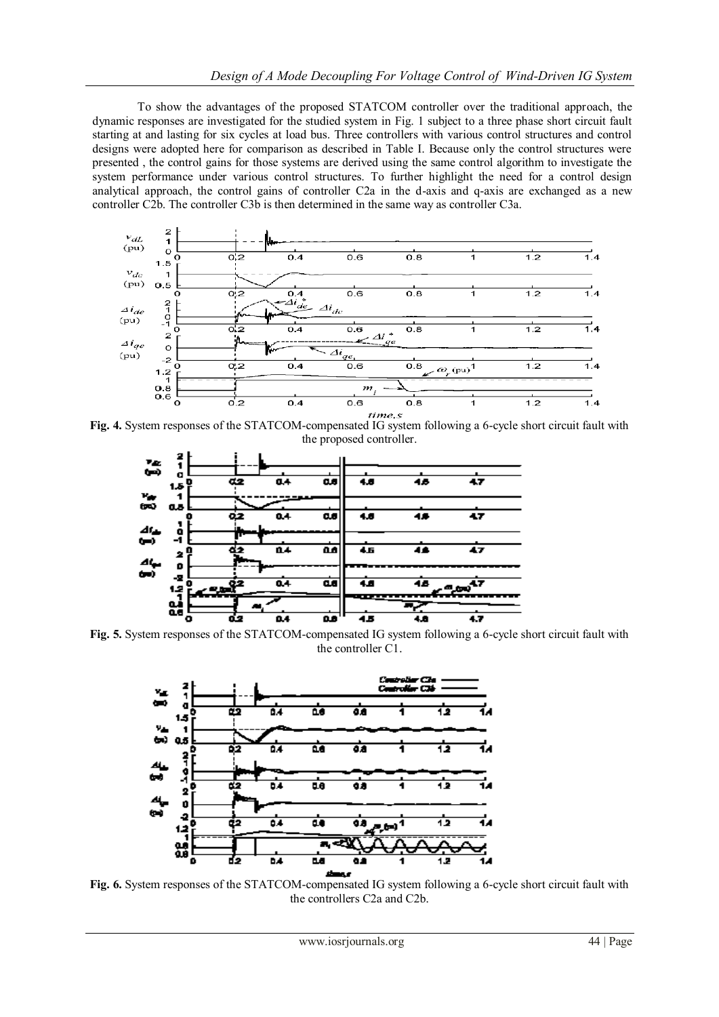To show the advantages of the proposed STATCOM controller over the traditional approach, the dynamic responses are investigated for the studied system in Fig. 1 subject to a three phase short circuit fault starting at and lasting for six cycles at load bus. Three controllers with various control structures and control designs were adopted here for comparison as described in Table I. Because only the control structures were presented , the control gains for those systems are derived using the same control algorithm to investigate the system performance under various control structures. To further highlight the need for a control design analytical approach, the control gains of controller C2a in the d-axis and q-axis are exchanged as a new controller C2b. The controller C3b is then determined in the same way as controller C3a.



**Fig. 4.** System responses of the STATCOM-compensated IG system following a 6-cycle short circuit fault with the proposed controller.



**Fig. 5.** System responses of the STATCOM-compensated IG system following a 6-cycle short circuit fault with the controller C1.



**Fig. 6.** System responses of the STATCOM-compensated IG system following a 6-cycle short circuit fault with the controllers C2a and C2b.